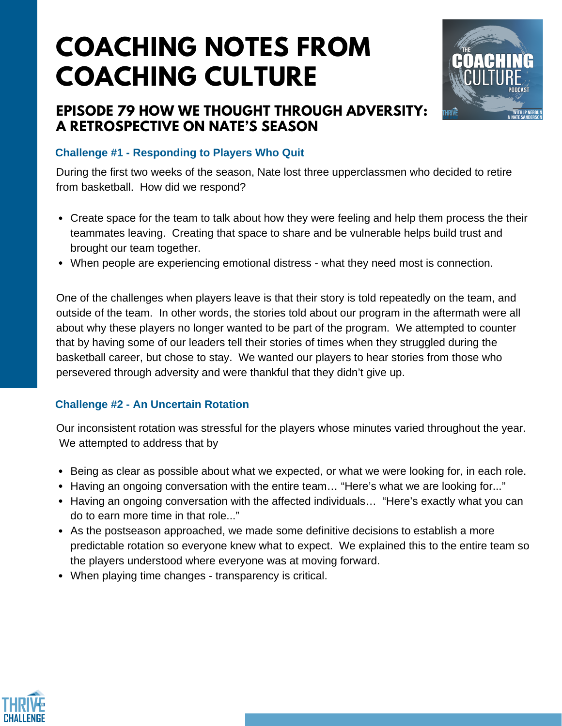# **COACHING NOTES FROM COACHING CULTURE**

## **EPISODE 79 HOW WE THOUGHT THROUGH ADVERSITY: A RETROSPECTIVE ON NATE'S SEASON**



### **Challenge #1 - Responding to Players Who Quit**

During the first two weeks of the season, Nate lost three upperclassmen who decided to retire from basketball. How did we respond?

- Create space for the team to talk about how they were feeling and help them process the their teammates leaving. Creating that space to share and be vulnerable helps build trust and brought our team together.
- When people are experiencing emotional distress what they need most is connection.

One of the challenges when players leave is that their story is told repeatedly on the team, and outside of the team. In other words, the stories told about our program in the aftermath were all about why these players no longer wanted to be part of the program. We attempted to counter that by having some of our leaders tell their stories of times when they struggled during the basketball career, but chose to stay. We wanted our players to hear stories from those who persevered through adversity and were thankful that they didn't give up.

#### **Challenge #2 - An Uncertain Rotation**

Our inconsistent rotation was stressful for the players whose minutes varied throughout the year. We attempted to address that by

- **Being as clear as possible about what we expected, or what we were looking for, in each role.**
- Having an ongoing conversation with the entire team... "Here's what we are looking for..."
- Having an ongoing conversation with the affected individuals... "Here's exactly what you can do to earn more time in that role..."
- As the postseason approached, we made some definitive decisions to establish a more predictable rotation so everyone knew what to expect. We explained this to the entire team so the players understood where everyone was at moving forward.
- When playing time changes transparency is critical.

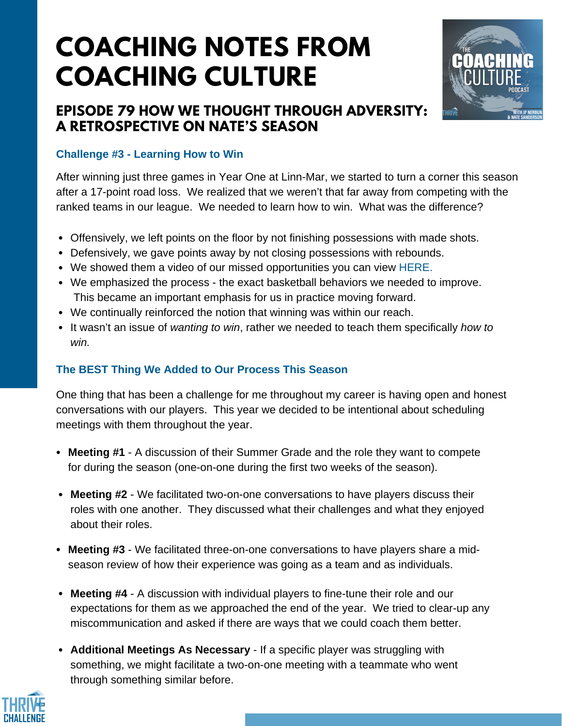# **COACHING NOTES FROM COACHING CULTURE**

## **EPISODE 79 HOW WE THOUGHT THROUGH ADVERSITY: A RETROSPECTIVE ON NATE'S SEASON**



#### **Challenge #3 - Learning How to Win**

After winning just three games in Year One at Linn-Mar, we started to turn a corner this season after a 17-point road loss. We realized that we weren't that far away from competing with the ranked teams in our league. We needed to learn how to win. What was the difference?

- Offensively, we left points on the floor by not finishing possessions with made shots.
- Defensively, we gave points away by not closing possessions with rebounds.
- We showed them a video of our missed opportunities you can view [HERE.](https://youtu.be/0Gw1wXo_K7Q)
- We emphasized the process the exact basketball behaviors we needed to improve. This became an important emphasis for us in practice moving forward.
- We continually reinforced the notion that winning was within our reach.
- It wasn't an issue of *wanting to win*, rather we needed to teach them specifically *how to win.*

#### **The BEST Thing We Added to Our Process This Season**

One thing that has been a challenge for me throughout my career is having open and honest conversations with our players. This year we decided to be intentional about scheduling meetings with them throughout the year.

- **Meeting #1** A discussion of their Summer Grade and the role they want to compete for during the season (one-on-one during the first two weeks of the season).
- **Meeting #2** We facilitated two-on-one conversations to have players discuss their roles with one another. They discussed what their challenges and what they enjoyed about their roles.
- **Meeting #3** We facilitated three-on-one conversations to have players share a midseason review of how their experience was going as a team and as individuals.
- **Meeting #4** A discussion with individual players to fine-tune their role and our expectations for them as we approached the end of the year. We tried to clear-up any miscommunication and asked if there are ways that we could coach them better.
- **Additional Meetings As Necessary** If a specific player was struggling with something, we might facilitate a two-on-one meeting with a teammate who went through something similar before.